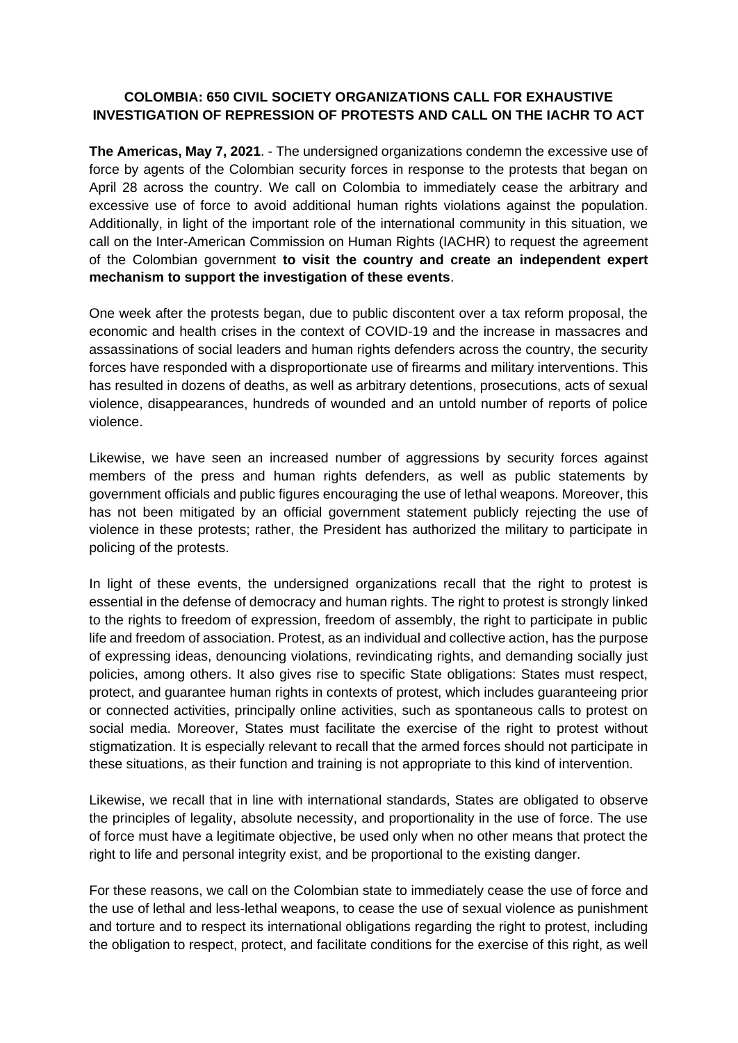# **COLOMBIA: 650 CIVIL SOCIETY ORGANIZATIONS CALL FOR EXHAUSTIVE INVESTIGATION OF REPRESSION OF PROTESTS AND CALL ON THE IACHR TO ACT**

**The Americas, May 7, 2021**. - The undersigned organizations condemn the excessive use of force by agents of the Colombian security forces in response to the protests that began on April 28 across the country. We call on Colombia to immediately cease the arbitrary and excessive use of force to avoid additional human rights violations against the population. Additionally, in light of the important role of the international community in this situation, we call on the Inter-American Commission on Human Rights (IACHR) to request the agreement of the Colombian government **to visit the country and create an independent expert mechanism to support the investigation of these events**.

One week after the protests began, due to public discontent over a tax reform proposal, the economic and health crises in the context of COVID-19 and the increase in massacres and assassinations of social leaders and human rights defenders across the country, the security forces have responded with a disproportionate use of firearms and military interventions. This has resulted in dozens of deaths, as well as arbitrary detentions, prosecutions, acts of sexual violence, disappearances, hundreds of wounded and an untold number of reports of police violence.

Likewise, we have seen an increased number of aggressions by security forces against members of the press and human rights defenders, as well as public statements by government officials and public figures encouraging the use of lethal weapons. Moreover, this has not been mitigated by an official government statement publicly rejecting the use of violence in these protests; rather, the President has authorized the military to participate in policing of the protests.

In light of these events, the undersigned organizations recall that the right to protest is essential in the defense of democracy and human rights. The right to protest is strongly linked to the rights to freedom of expression, freedom of assembly, the right to participate in public life and freedom of association. Protest, as an individual and collective action, has the purpose of expressing ideas, denouncing violations, revindicating rights, and demanding socially just policies, among others. It also gives rise to specific State obligations: States must respect, protect, and guarantee human rights in contexts of protest, which includes guaranteeing prior or connected activities, principally online activities, such as spontaneous calls to protest on social media. Moreover, States must facilitate the exercise of the right to protest without stigmatization. It is especially relevant to recall that the armed forces should not participate in these situations, as their function and training is not appropriate to this kind of intervention.

Likewise, we recall that in line with international standards, States are obligated to observe the principles of legality, absolute necessity, and proportionality in the use of force. The use of force must have a legitimate objective, be used only when no other means that protect the right to life and personal integrity exist, and be proportional to the existing danger.

For these reasons, we call on the Colombian state to immediately cease the use of force and the use of lethal and less-lethal weapons, to cease the use of sexual violence as punishment and torture and to respect its international obligations regarding the right to protest, including the obligation to respect, protect, and facilitate conditions for the exercise of this right, as well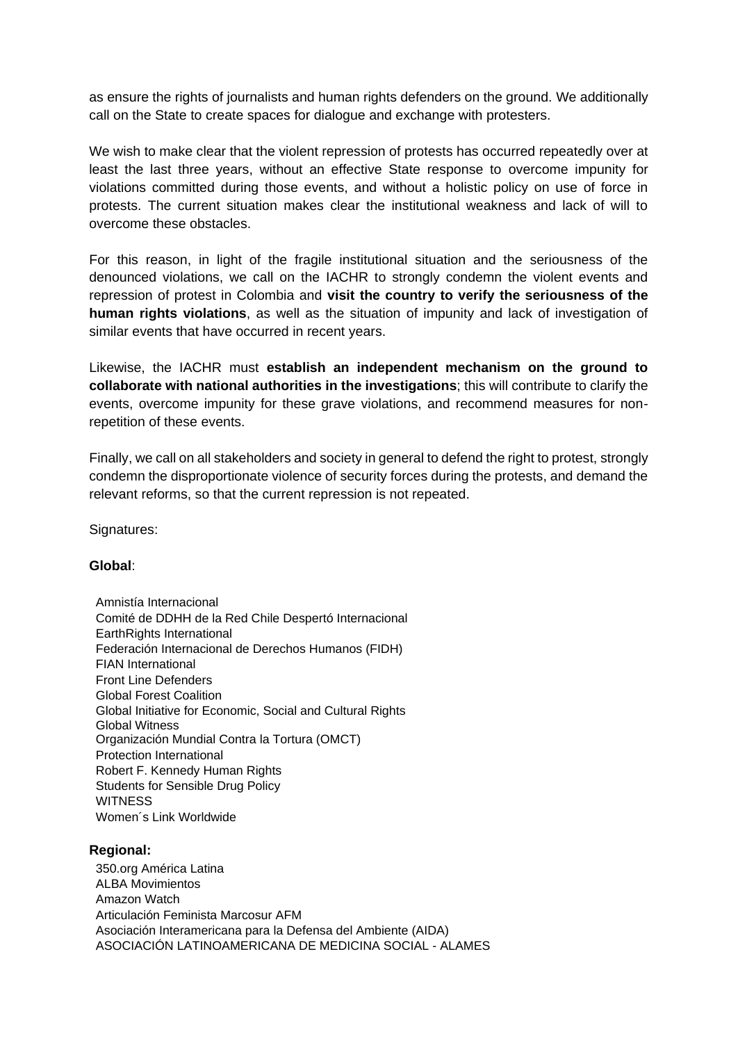as ensure the rights of journalists and human rights defenders on the ground. We additionally call on the State to create spaces for dialogue and exchange with protesters.

We wish to make clear that the violent repression of protests has occurred repeatedly over at least the last three years, without an effective State response to overcome impunity for violations committed during those events, and without a holistic policy on use of force in protests. The current situation makes clear the institutional weakness and lack of will to overcome these obstacles.

For this reason, in light of the fragile institutional situation and the seriousness of the denounced violations, we call on the IACHR to strongly condemn the violent events and repression of protest in Colombia and **visit the country to verify the seriousness of the human rights violations**, as well as the situation of impunity and lack of investigation of similar events that have occurred in recent years.

Likewise, the IACHR must **establish an independent mechanism on the ground to collaborate with national authorities in the investigations**; this will contribute to clarify the events, overcome impunity for these grave violations, and recommend measures for nonrepetition of these events.

Finally, we call on all stakeholders and society in general to defend the right to protest, strongly condemn the disproportionate violence of security forces during the protests, and demand the relevant reforms, so that the current repression is not repeated.

Signatures:

# **Global**:

Amnistía Internacional Comité de DDHH de la Red Chile Despertó Internacional EarthRights International Federación Internacional de Derechos Humanos (FIDH) FIAN International Front Line Defenders Global Forest Coalition Global Initiative for Economic, Social and Cultural Rights Global Witness Organización Mundial Contra la Tortura (OMCT) Protection International Robert F. Kennedy Human Rights Students for Sensible Drug Policy **WITNESS** Women´s Link Worldwide

### **Regional:**

350.org América Latina ALBA Movimientos Amazon Watch Articulación Feminista Marcosur AFM Asociación Interamericana para la Defensa del Ambiente (AIDA) ASOCIACIÓN LATINOAMERICANA DE MEDICINA SOCIAL - ALAMES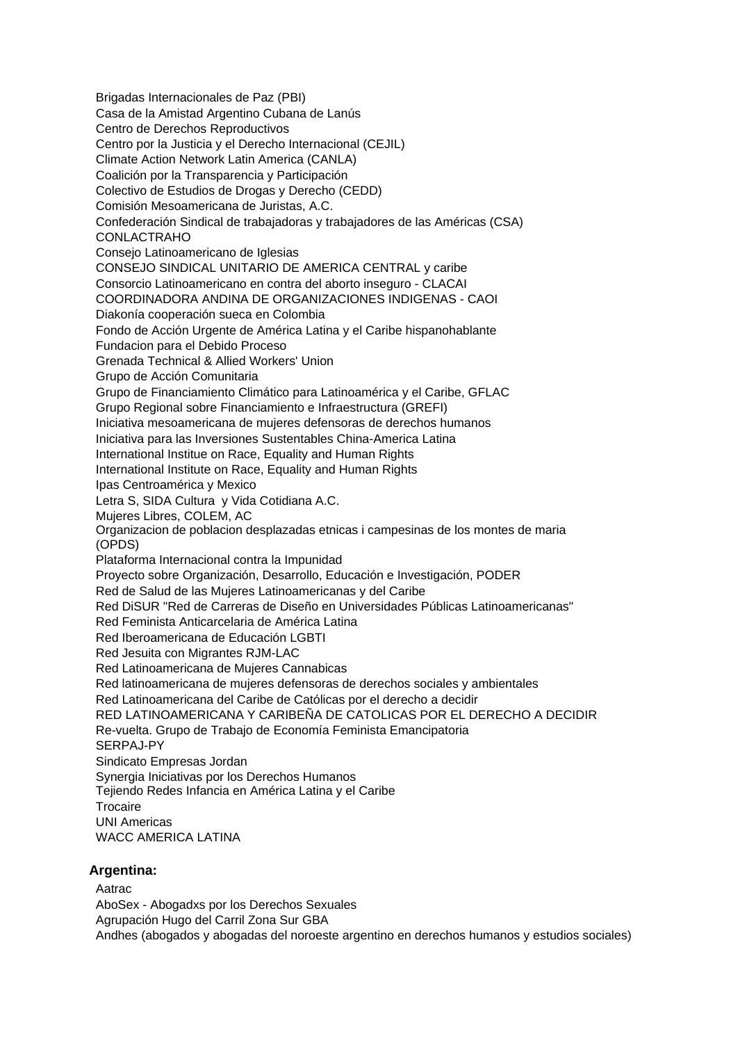Brigadas Internacionales de Paz (PBI) Casa de la Amistad Argentino Cubana de Lanús Centro de Derechos Reproductivos Centro por la Justicia y el Derecho Internacional (CEJIL) Climate Action Network Latin America (CANLA) Coalición por la Transparencia y Participación Colectivo de Estudios de Drogas y Derecho (CEDD) Comisión Mesoamericana de Juristas, A.C. Confederación Sindical de trabajadoras y trabajadores de las Américas (CSA) CONLACTRAHO Consejo Latinoamericano de Iglesias CONSEJO SINDICAL UNITARIO DE AMERICA CENTRAL y caribe Consorcio Latinoamericano en contra del aborto inseguro - CLACAI COORDINADORA ANDINA DE ORGANIZACIONES INDIGENAS - CAOI Diakonía cooperación sueca en Colombia Fondo de Acción Urgente de América Latina y el Caribe hispanohablante Fundacion para el Debido Proceso Grenada Technical & Allied Workers' Union Grupo de Acción Comunitaria Grupo de Financiamiento Climático para Latinoamérica y el Caribe, GFLAC Grupo Regional sobre Financiamiento e Infraestructura (GREFI) Iniciativa mesoamericana de mujeres defensoras de derechos humanos Iniciativa para las Inversiones Sustentables China-America Latina International Institue on Race, Equality and Human Rights International Institute on Race, Equality and Human Rights Ipas Centroamérica y Mexico Letra S, SIDA Cultura y Vida Cotidiana A.C. Mujeres Libres, COLEM, AC Organizacion de poblacion desplazadas etnicas i campesinas de los montes de maria (OPDS) Plataforma Internacional contra la Impunidad Proyecto sobre Organización, Desarrollo, Educación e Investigación, PODER Red de Salud de las Mujeres Latinoamericanas y del Caribe Red DiSUR "Red de Carreras de Diseño en Universidades Públicas Latinoamericanas" Red Feminista Anticarcelaria de América Latina Red Iberoamericana de Educación LGBTI Red Jesuita con Migrantes RJM-LAC Red Latinoamericana de Mujeres Cannabicas Red latinoamericana de mujeres defensoras de derechos sociales y ambientales Red Latinoamericana del Caribe de Católicas por el derecho a decidir RED LATINOAMERICANA Y CARIBEÑA DE CATOLICAS POR EL DERECHO A DECIDIR Re-vuelta. Grupo de Trabajo de Economía Feminista Emancipatoria SERPAJ-PY Sindicato Empresas Jordan Synergia Iniciativas por los Derechos Humanos Tejiendo Redes Infancia en América Latina y el Caribe **Trocaire** UNI Americas WACC AMERICA LATINA **Argentina:**

### Aatrac

AboSex - Abogadxs por los Derechos Sexuales

Agrupación Hugo del Carril Zona Sur GBA

Andhes (abogados y abogadas del noroeste argentino en derechos humanos y estudios sociales)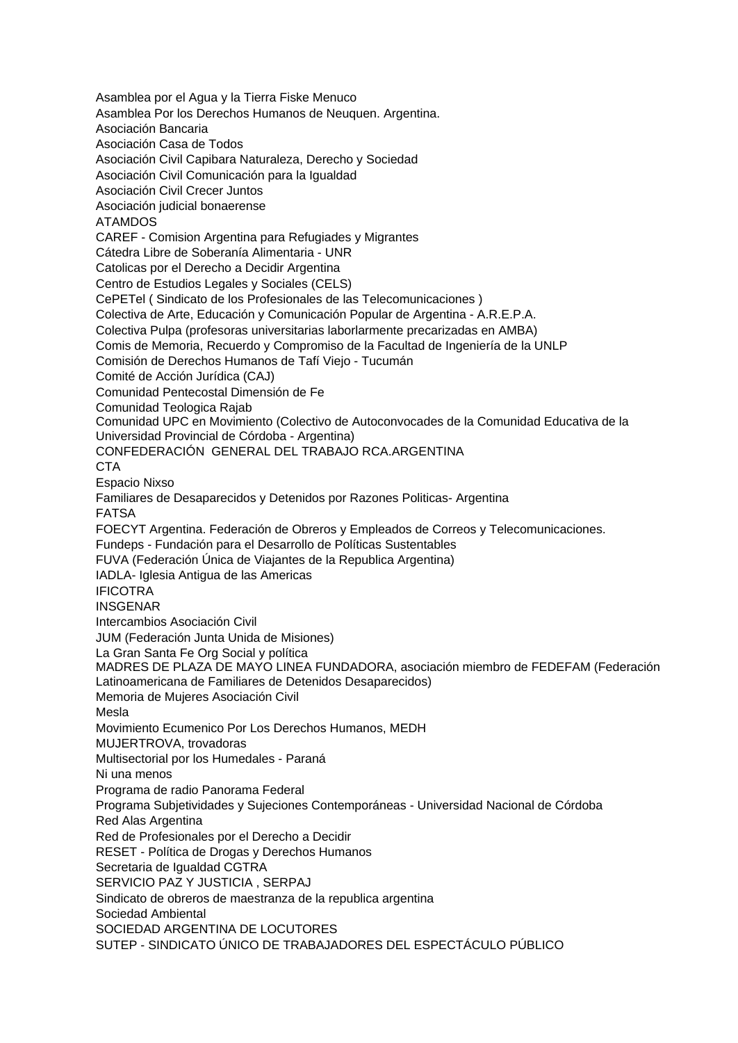Asamblea por el Agua y la Tierra Fiske Menuco Asamblea Por los Derechos Humanos de Neuquen. Argentina. Asociación Bancaria Asociación Casa de Todos Asociación Civil Capibara Naturaleza, Derecho y Sociedad Asociación Civil Comunicación para la Igualdad Asociación Civil Crecer Juntos Asociación judicial bonaerense ATAMDOS CAREF - Comision Argentina para Refugiades y Migrantes Cátedra Libre de Soberanía Alimentaria - UNR Catolicas por el Derecho a Decidir Argentina Centro de Estudios Legales y Sociales (CELS) CePETel ( Sindicato de los Profesionales de las Telecomunicaciones ) Colectiva de Arte, Educación y Comunicación Popular de Argentina - A.R.E.P.A. Colectiva Pulpa (profesoras universitarias laborlarmente precarizadas en AMBA) Comis de Memoria, Recuerdo y Compromiso de la Facultad de Ingeniería de la UNLP Comisión de Derechos Humanos de Tafí Viejo - Tucumán Comité de Acción Jurídica (CAJ) Comunidad Pentecostal Dimensión de Fe Comunidad Teologica Rajab Comunidad UPC en Movimiento (Colectivo de Autoconvocades de la Comunidad Educativa de la Universidad Provincial de Córdoba - Argentina) CONFEDERACIÓN GENERAL DEL TRABAJO RCA.ARGENTINA **CTA** Espacio Nixso Familiares de Desaparecidos y Detenidos por Razones Politicas- Argentina FATSA FOECYT Argentina. Federación de Obreros y Empleados de Correos y Telecomunicaciones. Fundeps - Fundación para el Desarrollo de Políticas Sustentables FUVA (Federación Única de Viajantes de la Republica Argentina) IADLA- Iglesia Antigua de las Americas IFICOTRA INSGENAR Intercambios Asociación Civil JUM (Federación Junta Unida de Misiones) La Gran Santa Fe Org Social y política MADRES DE PLAZA DE MAYO LINEA FUNDADORA, asociación miembro de FEDEFAM (Federación Latinoamericana de Familiares de Detenidos Desaparecidos) Memoria de Mujeres Asociación Civil Mesla Movimiento Ecumenico Por Los Derechos Humanos, MEDH MUJERTROVA, trovadoras Multisectorial por los Humedales - Paraná Ni una menos Programa de radio Panorama Federal Programa Subjetividades y Sujeciones Contemporáneas - Universidad Nacional de Córdoba Red Alas Argentina Red de Profesionales por el Derecho a Decidir RESET - Política de Drogas y Derechos Humanos Secretaria de Igualdad CGTRA SERVICIO PAZ Y JUSTICIA , SERPAJ Sindicato de obreros de maestranza de la republica argentina Sociedad Ambiental SOCIEDAD ARGENTINA DE LOCUTORES SUTEP - SINDICATO ÚNICO DE TRABAJADORES DEL ESPECTÁCULO PÚBLICO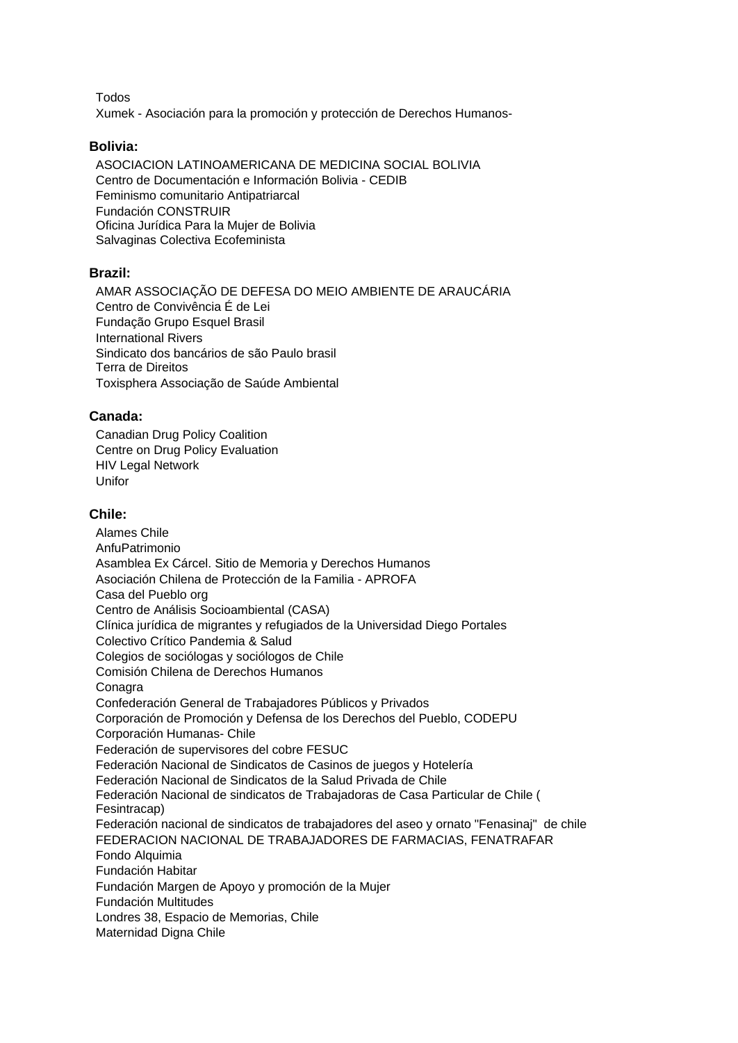Todos

Xumek - Asociación para la promoción y protección de Derechos Humanos-

### **Bolivia:**

ASOCIACION LATINOAMERICANA DE MEDICINA SOCIAL BOLIVIA Centro de Documentación e Información Bolivia - CEDIB Feminismo comunitario Antipatriarcal Fundación CONSTRUIR Oficina Jurídica Para la Mujer de Bolivia Salvaginas Colectiva Ecofeminista

# **Brazil:**

AMAR ASSOCIAÇÃO DE DEFESA DO MEIO AMBIENTE DE ARAUCÁRIA Centro de Convivência É de Lei Fundação Grupo Esquel Brasil International Rivers Sindicato dos bancários de são Paulo brasil Terra de Direitos Toxisphera Associação de Saúde Ambiental

### **Canada:**

Canadian Drug Policy Coalition Centre on Drug Policy Evaluation HIV Legal Network Unifor

# **Chile:**

Alames Chile AnfuPatrimonio Asamblea Ex Cárcel. Sitio de Memoria y Derechos Humanos Asociación Chilena de Protección de la Familia - APROFA Casa del Pueblo org Centro de Análisis Socioambiental (CASA) Clínica jurídica de migrantes y refugiados de la Universidad Diego Portales Colectivo Crítico Pandemia & Salud Colegios de sociólogas y sociólogos de Chile Comisión Chilena de Derechos Humanos **Conagra** Confederación General de Trabajadores Públicos y Privados Corporación de Promoción y Defensa de los Derechos del Pueblo, CODEPU Corporación Humanas- Chile Federación de supervisores del cobre FESUC Federación Nacional de Sindicatos de Casinos de juegos y Hotelería Federación Nacional de Sindicatos de la Salud Privada de Chile Federación Nacional de sindicatos de Trabajadoras de Casa Particular de Chile ( Fesintracap) Federación nacional de sindicatos de trabajadores del aseo y ornato "Fenasinaj" de chile FEDERACION NACIONAL DE TRABAJADORES DE FARMACIAS, FENATRAFAR Fondo Alquimia Fundación Habitar Fundación Margen de Apoyo y promoción de la Mujer Fundación Multitudes Londres 38, Espacio de Memorias, Chile Maternidad Digna Chile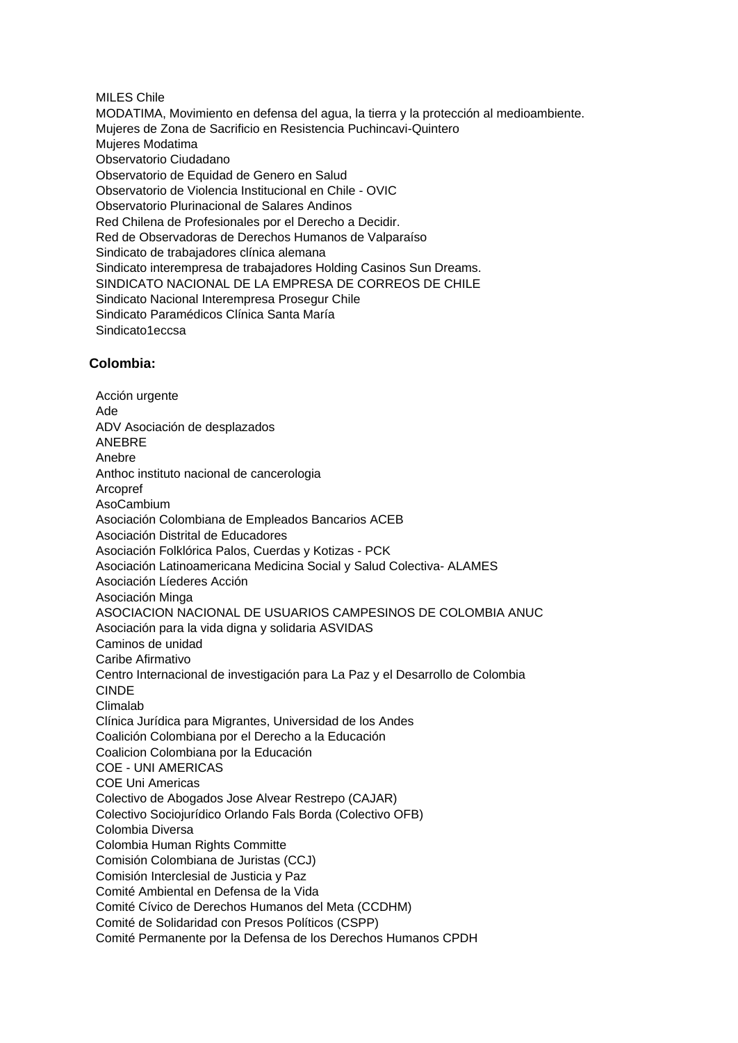#### MILES Chile

MODATIMA, Movimiento en defensa del agua, la tierra y la protección al medioambiente. Mujeres de Zona de Sacrificio en Resistencia Puchincavi-Quintero Mujeres Modatima Observatorio Ciudadano Observatorio de Equidad de Genero en Salud Observatorio de Violencia Institucional en Chile - OVIC Observatorio Plurinacional de Salares Andinos Red Chilena de Profesionales por el Derecho a Decidir. Red de Observadoras de Derechos Humanos de Valparaíso Sindicato de trabajadores clínica alemana Sindicato interempresa de trabajadores Holding Casinos Sun Dreams. SINDICATO NACIONAL DE LA EMPRESA DE CORREOS DE CHILE Sindicato Nacional Interempresa Prosegur Chile Sindicato Paramédicos Clínica Santa María Sindicato1eccsa

### **Colombia:**

Acción urgente Ade ADV Asociación de desplazados ANEBRE Anebre Anthoc instituto nacional de cancerologia Arcopref AsoCambium Asociación Colombiana de Empleados Bancarios ACEB Asociación Distrital de Educadores Asociación Folklórica Palos, Cuerdas y Kotizas - PCK Asociación Latinoamericana Medicina Social y Salud Colectiva- ALAMES Asociación Líederes Acción Asociación Minga ASOCIACION NACIONAL DE USUARIOS CAMPESINOS DE COLOMBIA ANUC Asociación para la vida digna y solidaria ASVIDAS Caminos de unidad Caribe Afirmativo Centro Internacional de investigación para La Paz y el Desarrollo de Colombia CINDE Climalab Clínica Jurídica para Migrantes, Universidad de los Andes Coalición Colombiana por el Derecho a la Educación Coalicion Colombiana por la Educación COE - UNI AMERICAS COE Uni Americas Colectivo de Abogados Jose Alvear Restrepo (CAJAR) Colectivo Sociojurídico Orlando Fals Borda (Colectivo OFB) Colombia Diversa Colombia Human Rights Committe Comisión Colombiana de Juristas (CCJ) Comisión Interclesial de Justicia y Paz Comité Ambiental en Defensa de la Vida Comité Cívico de Derechos Humanos del Meta (CCDHM) Comité de Solidaridad con Presos Políticos (CSPP) Comité Permanente por la Defensa de los Derechos Humanos CPDH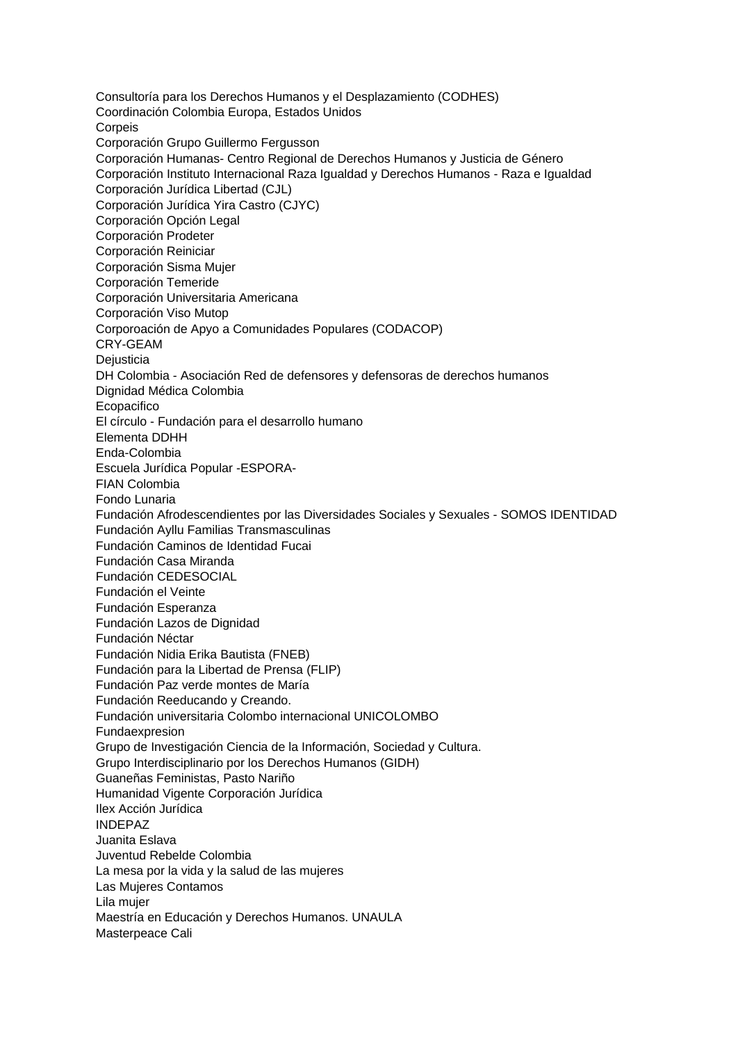Consultoría para los Derechos Humanos y el Desplazamiento (CODHES) Coordinación Colombia Europa, Estados Unidos Corpeis Corporación Grupo Guillermo Fergusson Corporación Humanas- Centro Regional de Derechos Humanos y Justicia de Género Corporación Instituto Internacional Raza Igualdad y Derechos Humanos - Raza e Igualdad Corporación Jurídica Libertad (CJL) Corporación Jurídica Yira Castro (CJYC) Corporación Opción Legal Corporación Prodeter Corporación Reiniciar Corporación Sisma Mujer Corporación Temeride Corporación Universitaria Americana Corporación Viso Mutop Corporoación de Apyo a Comunidades Populares (CODACOP) CRY-GEAM **Dejusticia** DH Colombia - Asociación Red de defensores y defensoras de derechos humanos Dignidad Médica Colombia Ecopacifico El círculo - Fundación para el desarrollo humano Elementa DDHH Enda-Colombia Escuela Jurídica Popular -ESPORA-FIAN Colombia Fondo Lunaria Fundación Afrodescendientes por las Diversidades Sociales y Sexuales - SOMOS IDENTIDAD Fundación Ayllu Familias Transmasculinas Fundación Caminos de Identidad Fucai Fundación Casa Miranda Fundación CEDESOCIAL Fundación el Veinte Fundación Esperanza Fundación Lazos de Dignidad Fundación Néctar Fundación Nidia Erika Bautista (FNEB) Fundación para la Libertad de Prensa (FLIP) Fundación Paz verde montes de María Fundación Reeducando y Creando. Fundación universitaria Colombo internacional UNICOLOMBO Fundaexpresion Grupo de Investigación Ciencia de la Información, Sociedad y Cultura. Grupo Interdisciplinario por los Derechos Humanos (GIDH) Guaneñas Feministas, Pasto Nariño Humanidad Vigente Corporación Jurídica Ilex Acción Jurídica INDEPAZ Juanita Eslava Juventud Rebelde Colombia La mesa por la vida y la salud de las mujeres Las Mujeres Contamos Lila mujer Maestría en Educación y Derechos Humanos. UNAULA Masterpeace Cali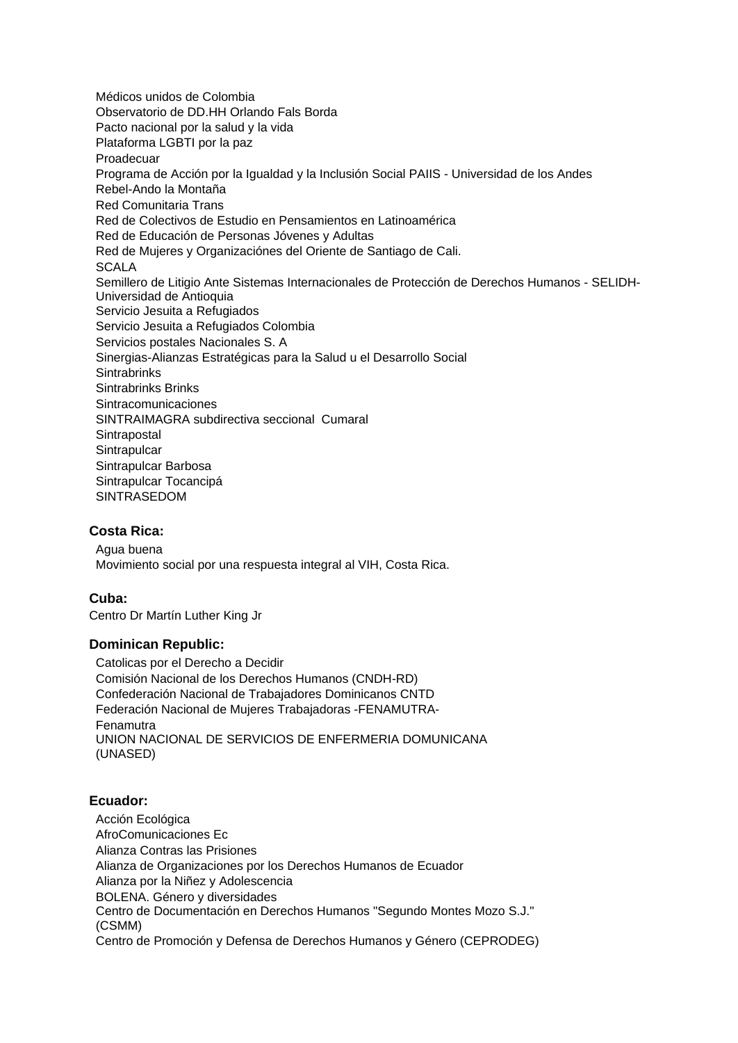Médicos unidos de Colombia Observatorio de DD.HH Orlando Fals Borda Pacto nacional por la salud y la vida Plataforma LGBTI por la paz Proadecuar Programa de Acción por la Igualdad y la Inclusión Social PAIIS - Universidad de los Andes Rebel-Ando la Montaña Red Comunitaria Trans Red de Colectivos de Estudio en Pensamientos en Latinoamérica Red de Educación de Personas Jóvenes y Adultas Red de Mujeres y Organizaciónes del Oriente de Santiago de Cali. **SCALA** Semillero de Litigio Ante Sistemas Internacionales de Protección de Derechos Humanos - SELIDH-Universidad de Antioquia Servicio Jesuita a Refugiados Servicio Jesuita a Refugiados Colombia Servicios postales Nacionales S. A Sinergias-Alianzas Estratégicas para la Salud u el Desarrollo Social **Sintrabrinks** Sintrabrinks Brinks Sintracomunicaciones SINTRAIMAGRA subdirectiva seccional Cumaral **Sintrapostal Sintrapulcar** Sintrapulcar Barbosa Sintrapulcar Tocancipá SINTRASEDOM

# **Costa Rica:**

Agua buena Movimiento social por una respuesta integral al VIH, Costa Rica.

# **Cuba:**

Centro Dr Martín Luther King Jr

### **Dominican Republic:**

Catolicas por el Derecho a Decidir Comisión Nacional de los Derechos Humanos (CNDH-RD) Confederación Nacional de Trabajadores Dominicanos CNTD Federación Nacional de Mujeres Trabajadoras -FENAMUTRA-Fenamutra UNION NACIONAL DE SERVICIOS DE ENFERMERIA DOMUNICANA (UNASED)

### **Ecuador:**

Acción Ecológica AfroComunicaciones Ec Alianza Contras las Prisiones Alianza de Organizaciones por los Derechos Humanos de Ecuador Alianza por la Niñez y Adolescencia BOLENA. Género y diversidades Centro de Documentación en Derechos Humanos "Segundo Montes Mozo S.J." (CSMM) Centro de Promoción y Defensa de Derechos Humanos y Género (CEPRODEG)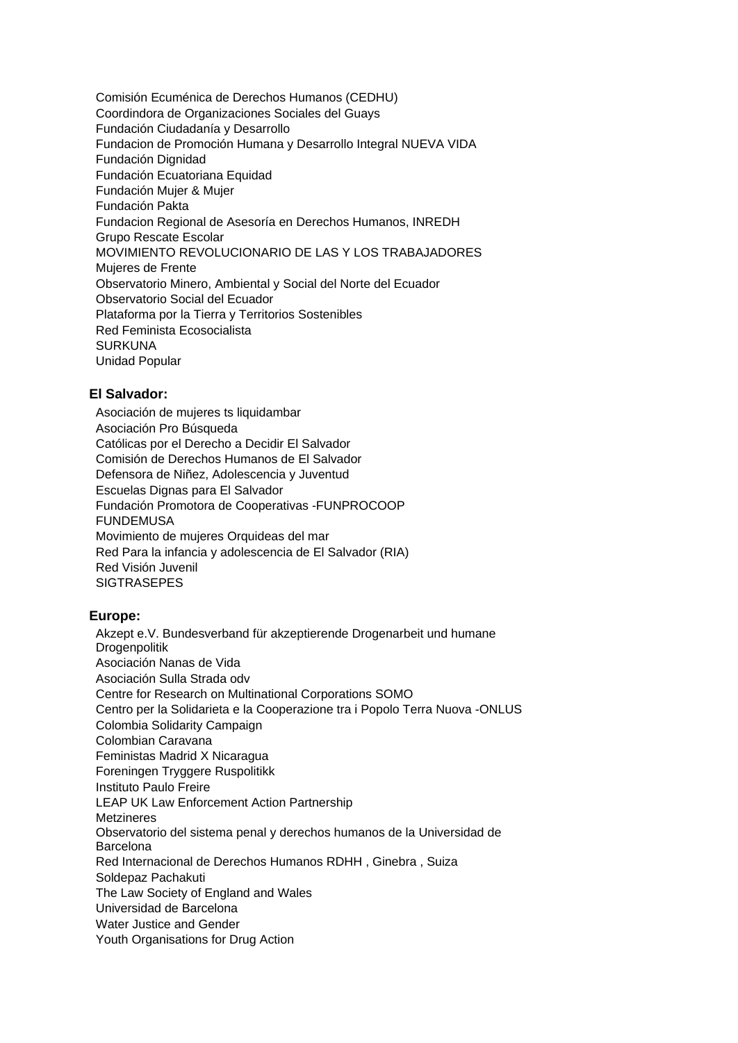Comisión Ecuménica de Derechos Humanos (CEDHU) Coordindora de Organizaciones Sociales del Guays Fundación Ciudadanía y Desarrollo Fundacion de Promoción Humana y Desarrollo Integral NUEVA VIDA Fundación Dignidad Fundación Ecuatoriana Equidad Fundación Mujer & Mujer Fundación Pakta Fundacion Regional de Asesoría en Derechos Humanos, INREDH Grupo Rescate Escolar MOVIMIENTO REVOLUCIONARIO DE LAS Y LOS TRABAJADORES Mujeres de Frente Observatorio Minero, Ambiental y Social del Norte del Ecuador Observatorio Social del Ecuador Plataforma por la Tierra y Territorios Sostenibles Red Feminista Ecosocialista SURKUNA Unidad Popular

# **El Salvador:**

Asociación de mujeres ts liquidambar Asociación Pro Búsqueda Católicas por el Derecho a Decidir El Salvador Comisión de Derechos Humanos de El Salvador Defensora de Niñez, Adolescencia y Juventud Escuelas Dignas para El Salvador Fundación Promotora de Cooperativas -FUNPROCOOP FUNDEMUSA Movimiento de mujeres Orquideas del mar Red Para la infancia y adolescencia de El Salvador (RIA) Red Visión Juvenil **SIGTRASEPES** 

### **Europe:**

Akzept e.V. Bundesverband für akzeptierende Drogenarbeit und humane Drogenpolitik Asociación Nanas de Vida Asociación Sulla Strada odv Centre for Research on Multinational Corporations SOMO Centro per la Solidarieta e la Cooperazione tra i Popolo Terra Nuova -ONLUS Colombia Solidarity Campaign Colombian Caravana Feministas Madrid X Nicaragua Foreningen Tryggere Ruspolitikk Instituto Paulo Freire LEAP UK Law Enforcement Action Partnership Metzineres Observatorio del sistema penal y derechos humanos de la Universidad de **Barcelona** Red Internacional de Derechos Humanos RDHH , Ginebra , Suiza Soldepaz Pachakuti The Law Society of England and Wales Universidad de Barcelona Water Justice and Gender Youth Organisations for Drug Action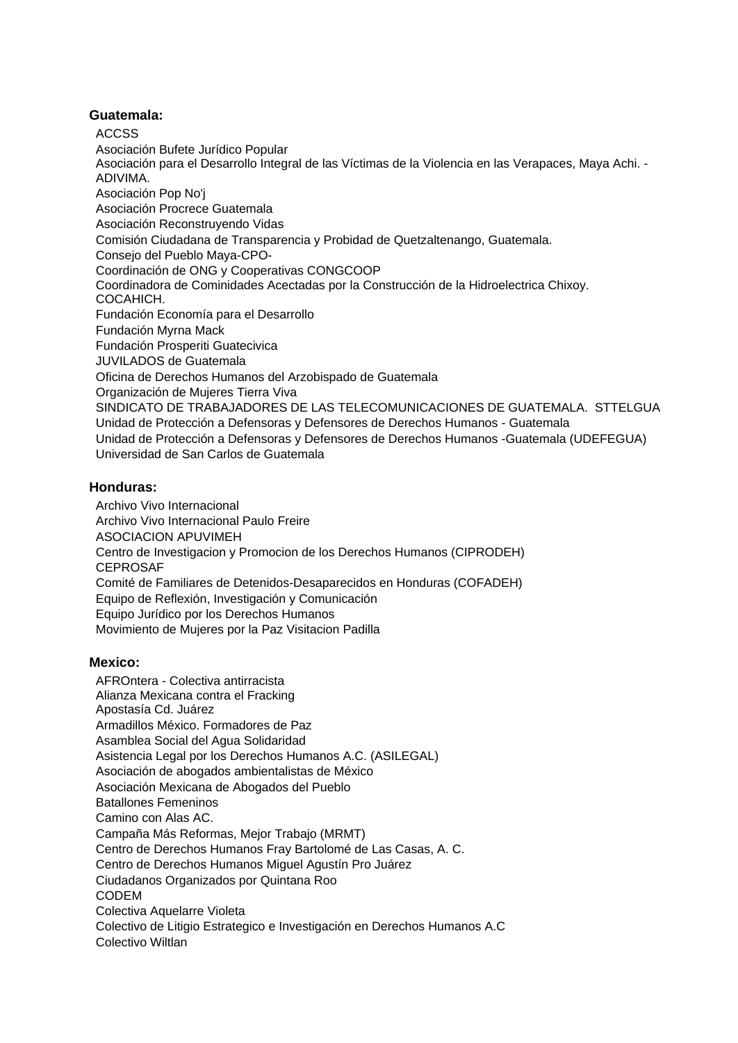### **Guatemala:**

ACCSS

Asociación Bufete Jurídico Popular Asociación para el Desarrollo Integral de las Víctimas de la Violencia en las Verapaces, Maya Achi. - ADIVIMA. Asociación Pop No'j Asociación Procrece Guatemala Asociación Reconstruyendo Vidas Comisión Ciudadana de Transparencia y Probidad de Quetzaltenango, Guatemala. Consejo del Pueblo Maya-CPO-Coordinación de ONG y Cooperativas CONGCOOP Coordinadora de Cominidades Acectadas por la Construcción de la Hidroelectrica Chixoy. COCAHICH. Fundación Economía para el Desarrollo Fundación Myrna Mack Fundación Prosperiti Guatecivica JUVILADOS de Guatemala Oficina de Derechos Humanos del Arzobispado de Guatemala Organización de Mujeres Tierra Viva SINDICATO DE TRABAJADORES DE LAS TELECOMUNICACIONES DE GUATEMALA. STTELGUA Unidad de Protección a Defensoras y Defensores de Derechos Humanos - Guatemala Unidad de Protección a Defensoras y Defensores de Derechos Humanos -Guatemala (UDEFEGUA) Universidad de San Carlos de Guatemala

# **Honduras:**

Archivo Vivo Internacional Archivo Vivo Internacional Paulo Freire ASOCIACION APUVIMEH Centro de Investigacion y Promocion de los Derechos Humanos (CIPRODEH) CEPROSAF Comité de Familiares de Detenidos-Desaparecidos en Honduras (COFADEH) Equipo de Reflexión, Investigación y Comunicación Equipo Jurídico por los Derechos Humanos Movimiento de Mujeres por la Paz Visitacion Padilla

### **Mexico:**

AFROntera - Colectiva antirracista Alianza Mexicana contra el Fracking Apostasía Cd. Juárez Armadillos México. Formadores de Paz Asamblea Social del Agua Solidaridad Asistencia Legal por los Derechos Humanos A.C. (ASILEGAL) Asociación de abogados ambientalistas de México Asociación Mexicana de Abogados del Pueblo Batallones Femeninos Camino con Alas AC. Campaña Más Reformas, Mejor Trabajo (MRMT) Centro de Derechos Humanos Fray Bartolomé de Las Casas, A. C. Centro de Derechos Humanos Miguel Agustín Pro Juárez Ciudadanos Organizados por Quintana Roo CODEM Colectiva Aquelarre Violeta Colectivo de Litigio Estrategico e Investigación en Derechos Humanos A.C Colectivo Wiltlan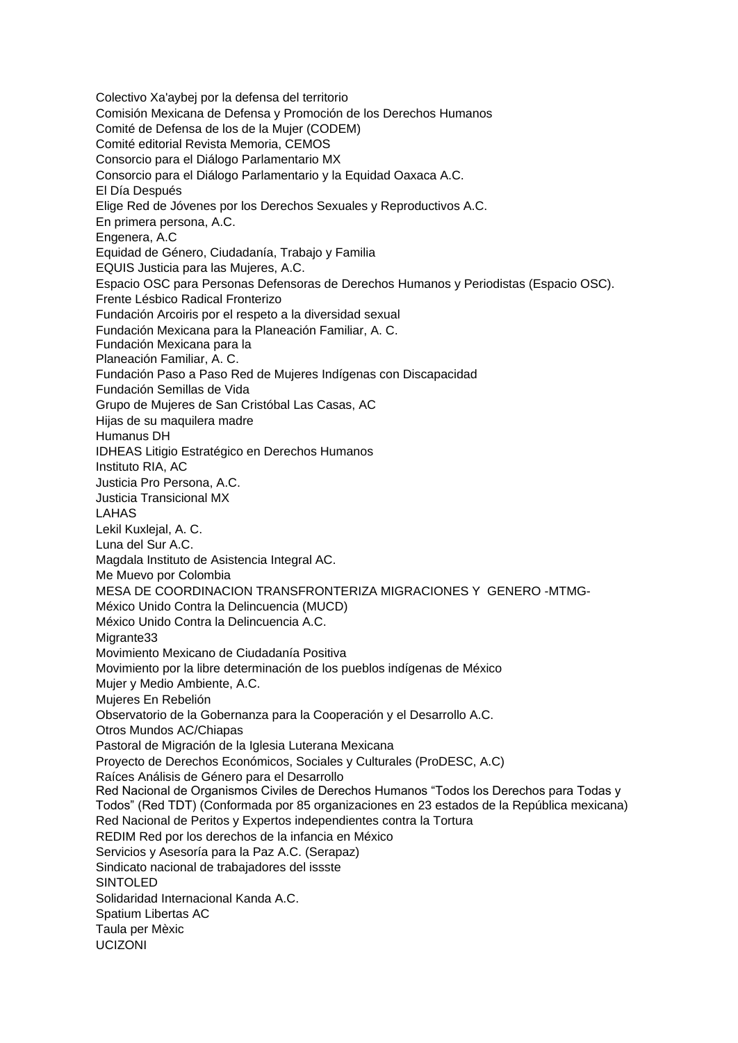Colectivo Xa'aybej por la defensa del territorio Comisión Mexicana de Defensa y Promoción de los Derechos Humanos Comité de Defensa de los de la Mujer (CODEM) Comité editorial Revista Memoria, CEMOS Consorcio para el Diálogo Parlamentario MX Consorcio para el Diálogo Parlamentario y la Equidad Oaxaca A.C. El Día Después Elige Red de Jóvenes por los Derechos Sexuales y Reproductivos A.C. En primera persona, A.C. Engenera, A.C Equidad de Género, Ciudadanía, Trabajo y Familia EQUIS Justicia para las Mujeres, A.C. Espacio OSC para Personas Defensoras de Derechos Humanos y Periodistas (Espacio OSC). Frente Lésbico Radical Fronterizo Fundación Arcoiris por el respeto a la diversidad sexual Fundación Mexicana para la Planeación Familiar, A. C. Fundación Mexicana para la Planeación Familiar, A. C. Fundación Paso a Paso Red de Mujeres Indígenas con Discapacidad Fundación Semillas de Vida Grupo de Mujeres de San Cristóbal Las Casas, AC Hijas de su maquilera madre Humanus DH IDHEAS Litigio Estratégico en Derechos Humanos Instituto RIA, AC Justicia Pro Persona, A.C. Justicia Transicional MX LAHAS Lekil Kuxlejal, A. C. Luna del Sur A.C. Magdala Instituto de Asistencia Integral AC. Me Muevo por Colombia MESA DE COORDINACION TRANSFRONTERIZA MIGRACIONES Y GENERO -MTMG-México Unido Contra la Delincuencia (MUCD) México Unido Contra la Delincuencia A.C. Migrante33 Movimiento Mexicano de Ciudadanía Positiva Movimiento por la libre determinación de los pueblos indígenas de México Mujer y Medio Ambiente, A.C. Mujeres En Rebelión Observatorio de la Gobernanza para la Cooperación y el Desarrollo A.C. Otros Mundos AC/Chiapas Pastoral de Migración de la Iglesia Luterana Mexicana Proyecto de Derechos Económicos, Sociales y Culturales (ProDESC, A.C) Raíces Análisis de Género para el Desarrollo Red Nacional de Organismos Civiles de Derechos Humanos "Todos los Derechos para Todas y Todos" (Red TDT) (Conformada por 85 organizaciones en 23 estados de la República mexicana) Red Nacional de Peritos y Expertos independientes contra la Tortura REDIM Red por los derechos de la infancia en México Servicios y Asesoría para la Paz A.C. (Serapaz) Sindicato nacional de trabajadores del issste SINTOLED Solidaridad Internacional Kanda A.C. Spatium Libertas AC Taula per Mèxic UCIZONI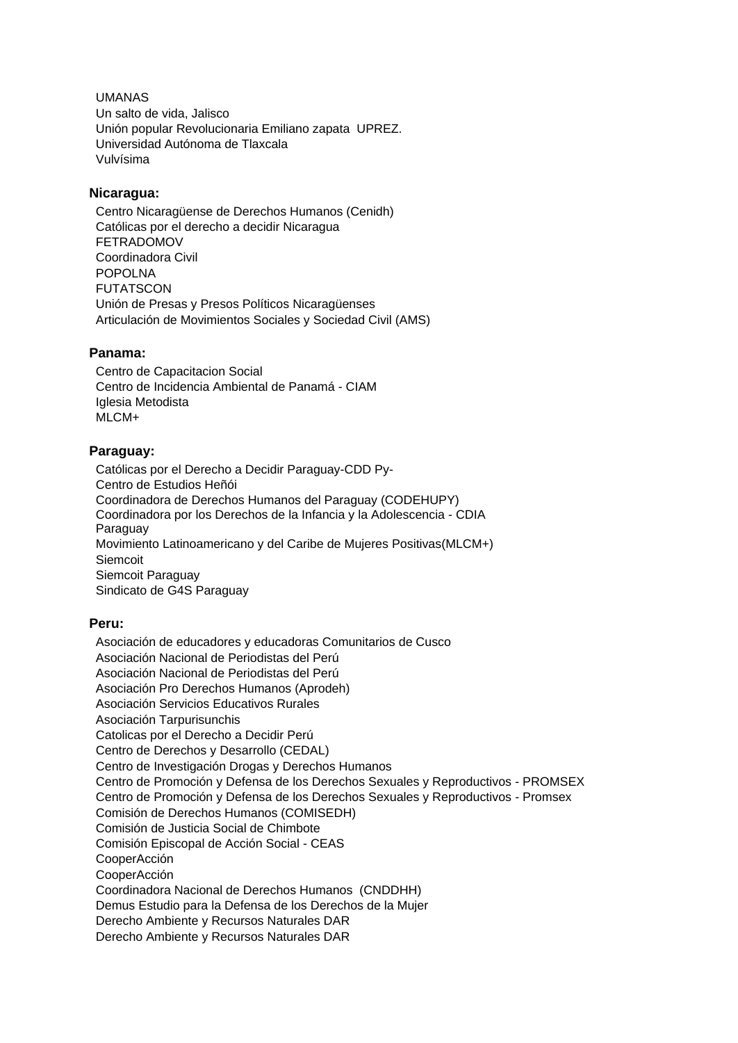UMANAS Un salto de vida, Jalisco Unión popular Revolucionaria Emiliano zapata UPREZ. Universidad Autónoma de Tlaxcala Vulvísima

### **Nicaragua:**

Centro Nicaragüense de Derechos Humanos (Cenidh) Católicas por el derecho a decidir Nicaragua FETRADOMOV Coordinadora Civil POPOLNA **FUTATSCON** Unión de Presas y Presos Políticos Nicaragüenses Articulación de Movimientos Sociales y Sociedad Civil (AMS)

### **Panama:**

Centro de Capacitacion Social Centro de Incidencia Ambiental de Panamá - CIAM Iglesia Metodista MI CM+

### **Paraguay:**

Católicas por el Derecho a Decidir Paraguay-CDD Py-Centro de Estudios Heñói Coordinadora de Derechos Humanos del Paraguay (CODEHUPY) Coordinadora por los Derechos de la Infancia y la Adolescencia - CDIA Paraguay Movimiento Latinoamericano y del Caribe de Mujeres Positivas(MLCM+) Siemcoit Siemcoit Paraguay Sindicato de G4S Paraguay

# **Peru:**

Asociación de educadores y educadoras Comunitarios de Cusco Asociación Nacional de Periodistas del Perú Asociación Nacional de Periodistas del Perú Asociación Pro Derechos Humanos (Aprodeh) Asociación Servicios Educativos Rurales Asociación Tarpurisunchis Catolicas por el Derecho a Decidir Perú Centro de Derechos y Desarrollo (CEDAL) Centro de Investigación Drogas y Derechos Humanos Centro de Promoción y Defensa de los Derechos Sexuales y Reproductivos - PROMSEX Centro de Promoción y Defensa de los Derechos Sexuales y Reproductivos - Promsex Comisión de Derechos Humanos (COMISEDH) Comisión de Justicia Social de Chimbote Comisión Episcopal de Acción Social - CEAS CooperAcción CooperAcción Coordinadora Nacional de Derechos Humanos (CNDDHH) Demus Estudio para la Defensa de los Derechos de la Mujer Derecho Ambiente y Recursos Naturales DAR Derecho Ambiente y Recursos Naturales DAR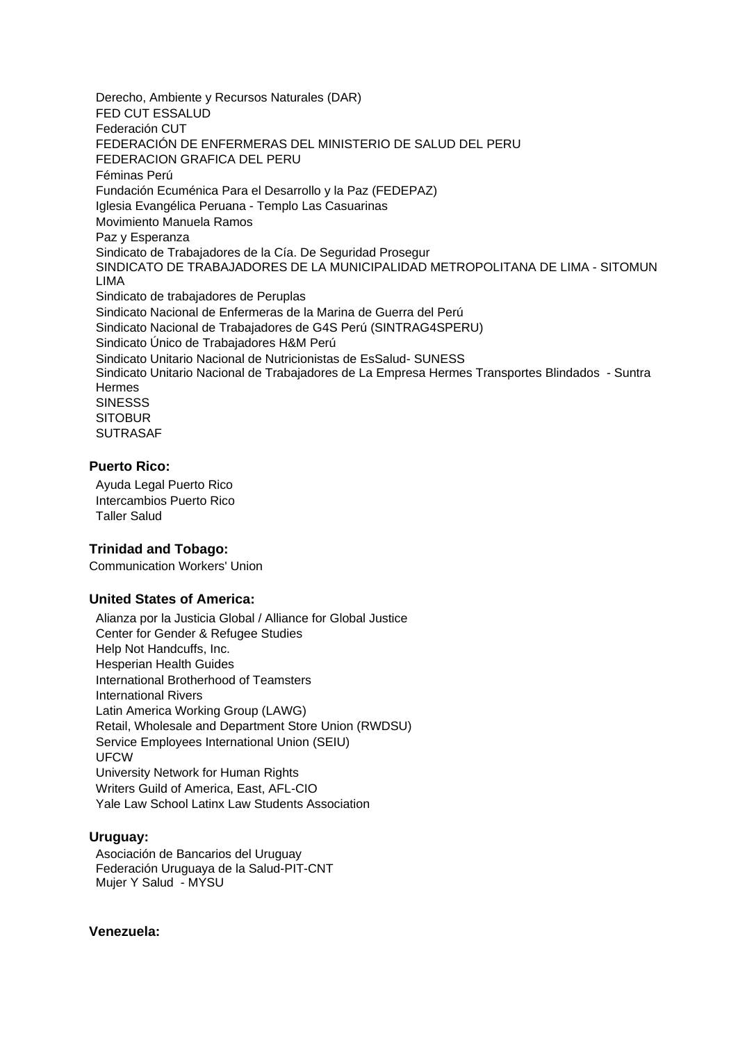Derecho, Ambiente y Recursos Naturales (DAR) FED CUT ESSALUD Federación CUT FEDERACIÓN DE ENFERMERAS DEL MINISTERIO DE SALUD DEL PERU FEDERACION GRAFICA DEL PERU Féminas Perú Fundación Ecuménica Para el Desarrollo y la Paz (FEDEPAZ) Iglesia Evangélica Peruana - Templo Las Casuarinas Movimiento Manuela Ramos Paz y Esperanza Sindicato de Trabajadores de la Cía. De Seguridad Prosegur SINDICATO DE TRABAJADORES DE LA MUNICIPALIDAD METROPOLITANA DE LIMA - SITOMUN LIMA Sindicato de trabajadores de Peruplas Sindicato Nacional de Enfermeras de la Marina de Guerra del Perú Sindicato Nacional de Trabajadores de G4S Perú (SINTRAG4SPERU) Sindicato Único de Trabajadores H&M Perú Sindicato Unitario Nacional de Nutricionistas de EsSalud- SUNESS Sindicato Unitario Nacional de Trabajadores de La Empresa Hermes Transportes Blindados - Suntra Hermes **SINESSS SITOBUR** SUTRASAF

### **Puerto Rico:**

Ayuda Legal Puerto Rico Intercambios Puerto Rico Taller Salud

### **Trinidad and Tobago:**

Communication Workers' Union

### **United States of America:**

Alianza por la Justicia Global / Alliance for Global Justice Center for Gender & Refugee Studies Help Not Handcuffs, Inc. Hesperian Health Guides International Brotherhood of Teamsters International Rivers Latin America Working Group (LAWG) Retail, Wholesale and Department Store Union (RWDSU) Service Employees International Union (SEIU) UFCW University Network for Human Rights Writers Guild of America, East, AFL-CIO Yale Law School Latinx Law Students Association

### **Uruguay:**

Asociación de Bancarios del Uruguay Federación Uruguaya de la Salud-PIT-CNT Mujer Y Salud - MYSU

#### **Venezuela:**